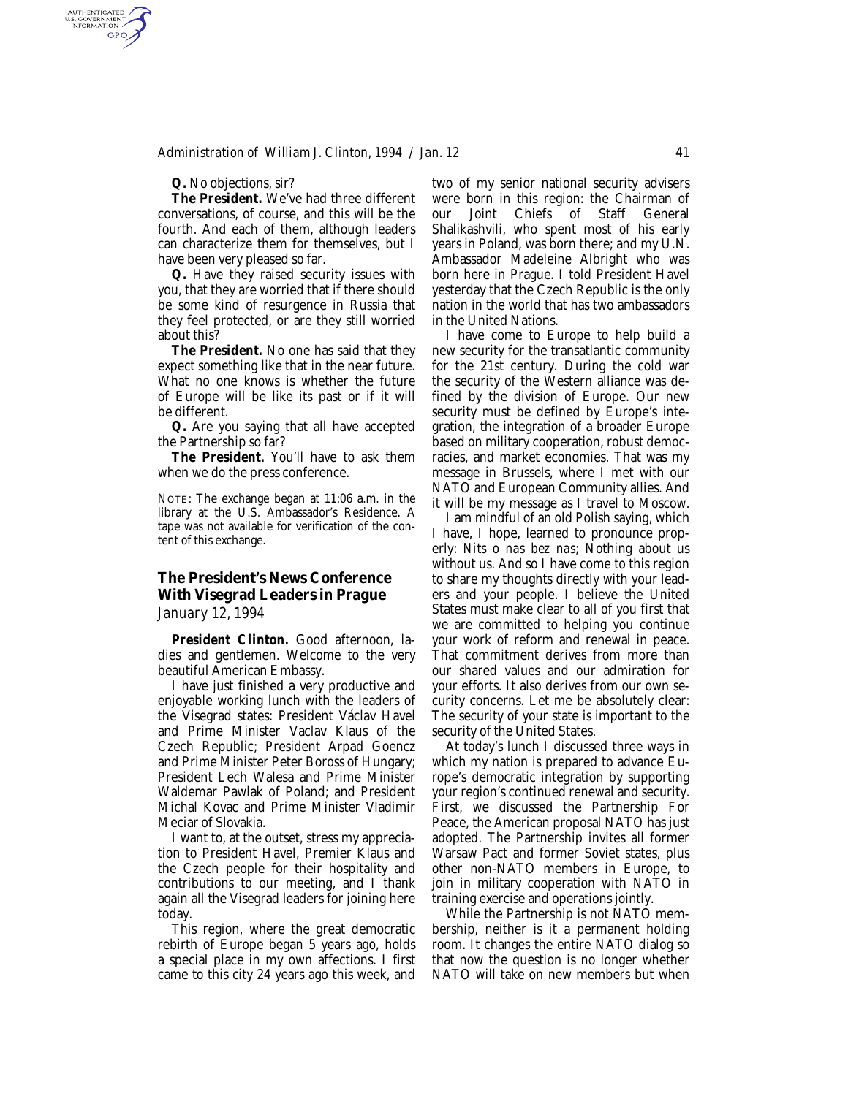*Administration of William J. Clinton, 1994 / Jan. 12* 41

#### *Q.* No objections, sir?

AUTHENTICATED<br>U.S. GOVERNMENT<br>INFORMATION **GPO** 

> *The President.* We've had three different conversations, of course, and this will be the fourth. And each of them, although leaders can characterize them for themselves, but I have been very pleased so far.

> *Q.* Have they raised security issues with you, that they are worried that if there should be some kind of resurgence in Russia that they feel protected, or are they still worried about this?

> *The President.* No one has said that they expect something like that in the near future. What no one knows is whether the future of Europe will be like its past or if it will be different.

> *Q.* Are you saying that all have accepted the Partnership so far?

> *The President.* You'll have to ask them when we do the press conference.

> NOTE: The exchange began at 11:06 a.m. in the library at the U.S. Ambassador's Residence. A tape was not available for verification of the content of this exchange.

# **The President's News Conference With Visegrad Leaders in Prague**

*January 12, 1994*

*President Clinton.* Good afternoon, ladies and gentlemen. Welcome to the very beautiful American Embassy.

I have just finished a very productive and enjoyable working lunch with the leaders of the Visegrad states: President Václav Havel and Prime Minister Vaclav Klaus of the Czech Republic; President Arpad Goencz and Prime Minister Peter Boross of Hungary; President Lech Walesa and Prime Minister Waldemar Pawlak of Poland; and President Michal Kovac and Prime Minister Vladimir Meciar of Slovakia.

I want to, at the outset, stress my appreciation to President Havel, Premier Klaus and the Czech people for their hospitality and contributions to our meeting, and I thank again all the Visegrad leaders for joining here today.

This region, where the great democratic rebirth of Europe began 5 years ago, holds a special place in my own affections. I first came to this city 24 years ago this week, and

two of my senior national security advisers were born in this region: the Chairman of our Joint Chiefs of Staff General Shalikashvili, who spent most of his early years in Poland, was born there; and my U.N. Ambassador Madeleine Albright who was born here in Prague. I told President Havel yesterday that the Czech Republic is the only nation in the world that has two ambassadors in the United Nations.

I have come to Europe to help build a new security for the transatlantic community for the 21st century. During the cold war the security of the Western alliance was defined by the division of Europe. Our new security must be defined by Europe's integration, the integration of a broader Europe based on military cooperation, robust democracies, and market economies. That was my message in Brussels, where I met with our NATO and European Community allies. And it will be my message as I travel to Moscow.

I am mindful of an old Polish saying, which I have, I hope, learned to pronounce properly: *Nits o nas bez nas*; Nothing about us without us. And so I have come to this region to share my thoughts directly with your leaders and your people. I believe the United States must make clear to all of you first that we are committed to helping you continue your work of reform and renewal in peace. That commitment derives from more than our shared values and our admiration for your efforts. It also derives from our own security concerns. Let me be absolutely clear: The security of your state is important to the security of the United States.

At today's lunch I discussed three ways in which my nation is prepared to advance Europe's democratic integration by supporting your region's continued renewal and security. First, we discussed the Partnership For Peace, the American proposal NATO has just adopted. The Partnership invites all former Warsaw Pact and former Soviet states, plus other non-NATO members in Europe, to join in military cooperation with NATO in training exercise and operations jointly.

While the Partnership is not NATO membership, neither is it a permanent holding room. It changes the entire NATO dialog so that now the question is no longer whether NATO will take on new members but when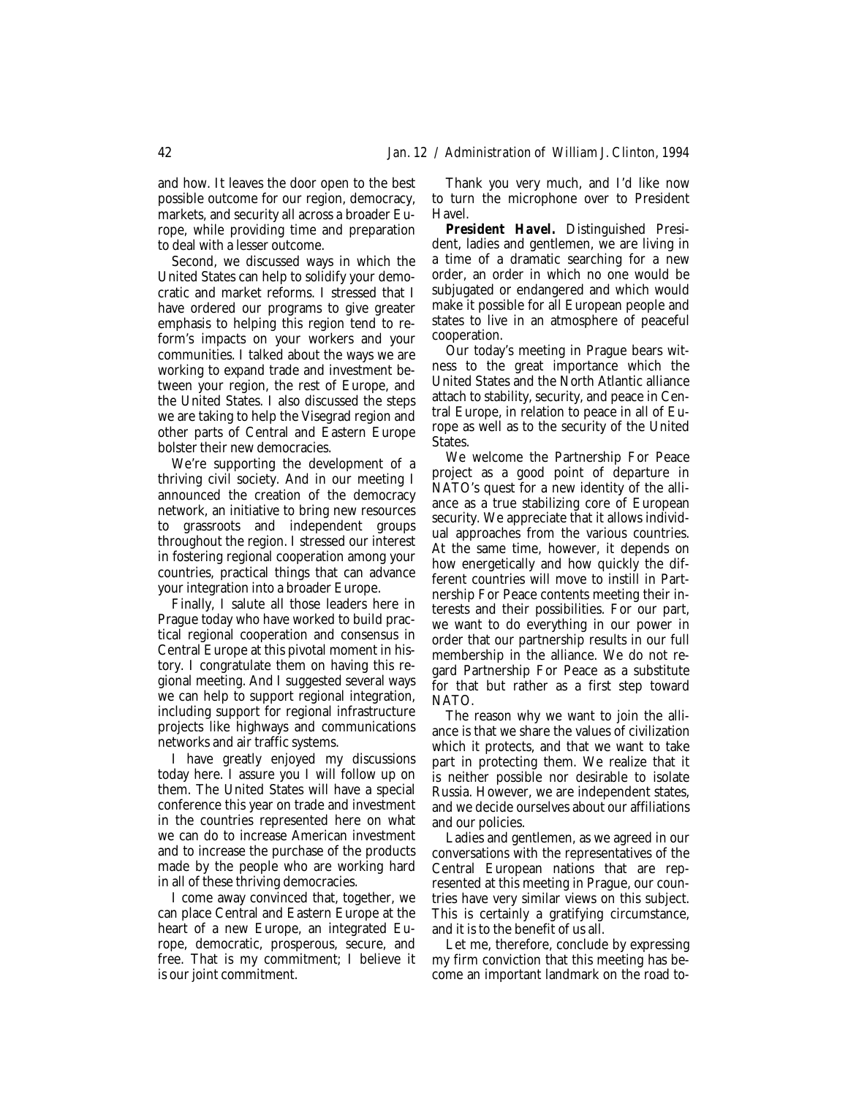and how. It leaves the door open to the best possible outcome for our region, democracy, markets, and security all across a broader Europe, while providing time and preparation to deal with a lesser outcome.

Second, we discussed ways in which the United States can help to solidify your democratic and market reforms. I stressed that I have ordered our programs to give greater emphasis to helping this region tend to reform's impacts on your workers and your communities. I talked about the ways we are working to expand trade and investment between your region, the rest of Europe, and the United States. I also discussed the steps we are taking to help the Visegrad region and other parts of Central and Eastern Europe bolster their new democracies.

We're supporting the development of a thriving civil society. And in our meeting I announced the creation of the democracy network, an initiative to bring new resources to grassroots and independent groups throughout the region. I stressed our interest in fostering regional cooperation among your countries, practical things that can advance your integration into a broader Europe.

Finally, I salute all those leaders here in Prague today who have worked to build practical regional cooperation and consensus in Central Europe at this pivotal moment in history. I congratulate them on having this regional meeting. And I suggested several ways we can help to support regional integration, including support for regional infrastructure projects like highways and communications networks and air traffic systems.

I have greatly enjoyed my discussions today here. I assure you I will follow up on them. The United States will have a special conference this year on trade and investment in the countries represented here on what we can do to increase American investment and to increase the purchase of the products made by the people who are working hard in all of these thriving democracies.

I come away convinced that, together, we can place Central and Eastern Europe at the heart of a new Europe, an integrated Europe, democratic, prosperous, secure, and free. That is my commitment; I believe it is our joint commitment.

Thank you very much, and I'd like now to turn the microphone over to President Havel.

*President Havel.* Distinguished President, ladies and gentlemen, we are living in a time of a dramatic searching for a new order, an order in which no one would be subjugated or endangered and which would make it possible for all European people and states to live in an atmosphere of peaceful cooperation.

Our today's meeting in Prague bears witness to the great importance which the United States and the North Atlantic alliance attach to stability, security, and peace in Central Europe, in relation to peace in all of Europe as well as to the security of the United States.

We welcome the Partnership For Peace project as a good point of departure in NATO's quest for a new identity of the alliance as a true stabilizing core of European security. We appreciate that it allows individual approaches from the various countries. At the same time, however, it depends on how energetically and how quickly the different countries will move to instill in Partnership For Peace contents meeting their interests and their possibilities. For our part, we want to do everything in our power in order that our partnership results in our full membership in the alliance. We do not regard Partnership For Peace as a substitute for that but rather as a first step toward NATO.

The reason why we want to join the alliance is that we share the values of civilization which it protects, and that we want to take part in protecting them. We realize that it is neither possible nor desirable to isolate Russia. However, we are independent states, and we decide ourselves about our affiliations and our policies.

Ladies and gentlemen, as we agreed in our conversations with the representatives of the Central European nations that are represented at this meeting in Prague, our countries have very similar views on this subject. This is certainly a gratifying circumstance, and it is to the benefit of us all.

Let me, therefore, conclude by expressing my firm conviction that this meeting has become an important landmark on the road to-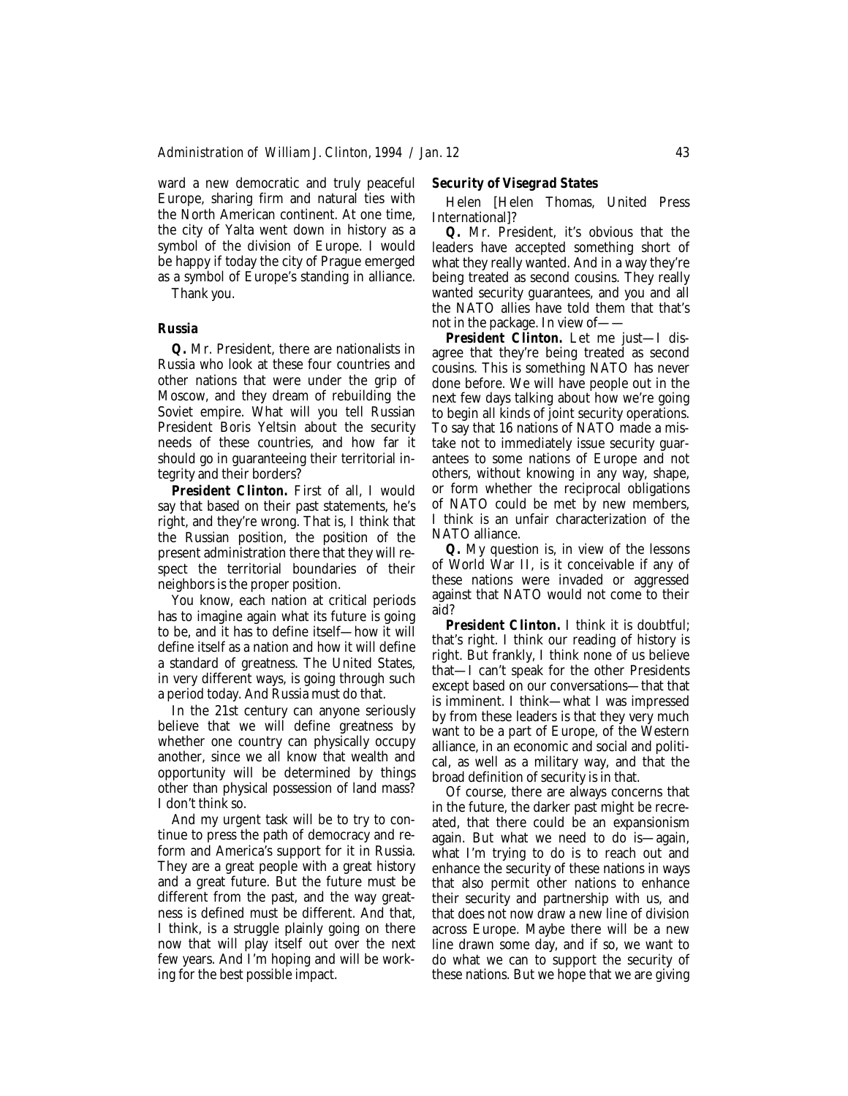ward a new democratic and truly peaceful Europe, sharing firm and natural ties with the North American continent. At one time, the city of Yalta went down in history as a symbol of the division of Europe. I would be happy if today the city of Prague emerged as a symbol of Europe's standing in alliance.

Thank you.

### *Russia*

*Q.* Mr. President, there are nationalists in Russia who look at these four countries and other nations that were under the grip of Moscow, and they dream of rebuilding the Soviet empire. What will you tell Russian President Boris Yeltsin about the security needs of these countries, and how far it should go in guaranteeing their territorial integrity and their borders?

*President Clinton.* First of all, I would say that based on their past statements, he's right, and they're wrong. That is, I think that the Russian position, the position of the present administration there that they will respect the territorial boundaries of their neighbors is the proper position.

You know, each nation at critical periods has to imagine again what its future is going to be, and it has to define itself—how it will define itself as a nation and how it will define a standard of greatness. The United States, in very different ways, is going through such a period today. And Russia must do that.

In the 21st century can anyone seriously believe that we will define greatness by whether one country can physically occupy another, since we all know that wealth and opportunity will be determined by things other than physical possession of land mass? I don't think so.

And my urgent task will be to try to continue to press the path of democracy and reform and America's support for it in Russia. They are a great people with a great history and a great future. But the future must be different from the past, and the way greatness is defined must be different. And that, I think, is a struggle plainly going on there now that will play itself out over the next few years. And I'm hoping and will be working for the best possible impact.

#### *Security of Visegrad States*

Helen [Helen Thomas, United Press International]?

*Q.* Mr. President, it's obvious that the leaders have accepted something short of what they really wanted. And in a way they're being treated as second cousins. They really wanted security guarantees, and you and all the NATO allies have told them that that's not in the package. In view of——

*President Clinton.* Let me just—I disagree that they're being treated as second cousins. This is something NATO has never done before. We will have people out in the next few days talking about how we're going to begin all kinds of joint security operations. To say that 16 nations of NATO made a mistake not to immediately issue security guarantees to some nations of Europe and not others, without knowing in any way, shape, or form whether the reciprocal obligations of NATO could be met by new members, I think is an unfair characterization of the NATO alliance.

*Q.* My question is, in view of the lessons of World War II, is it conceivable if any of these nations were invaded or aggressed against that NATO would not come to their aid?

*President Clinton.* I think it is doubtful; that's right. I think our reading of history is right. But frankly, I think none of us believe that—I can't speak for the other Presidents except based on our conversations—that that is imminent. I think—what I was impressed by from these leaders is that they very much want to be a part of Europe, of the Western alliance, in an economic and social and political, as well as a military way, and that the broad definition of security is in that.

Of course, there are always concerns that in the future, the darker past might be recreated, that there could be an expansionism again. But what we need to do is—again, what I'm trying to do is to reach out and enhance the security of these nations in ways that also permit other nations to enhance their security and partnership with us, and that does not now draw a new line of division across Europe. Maybe there will be a new line drawn some day, and if so, we want to do what we can to support the security of these nations. But we hope that we are giving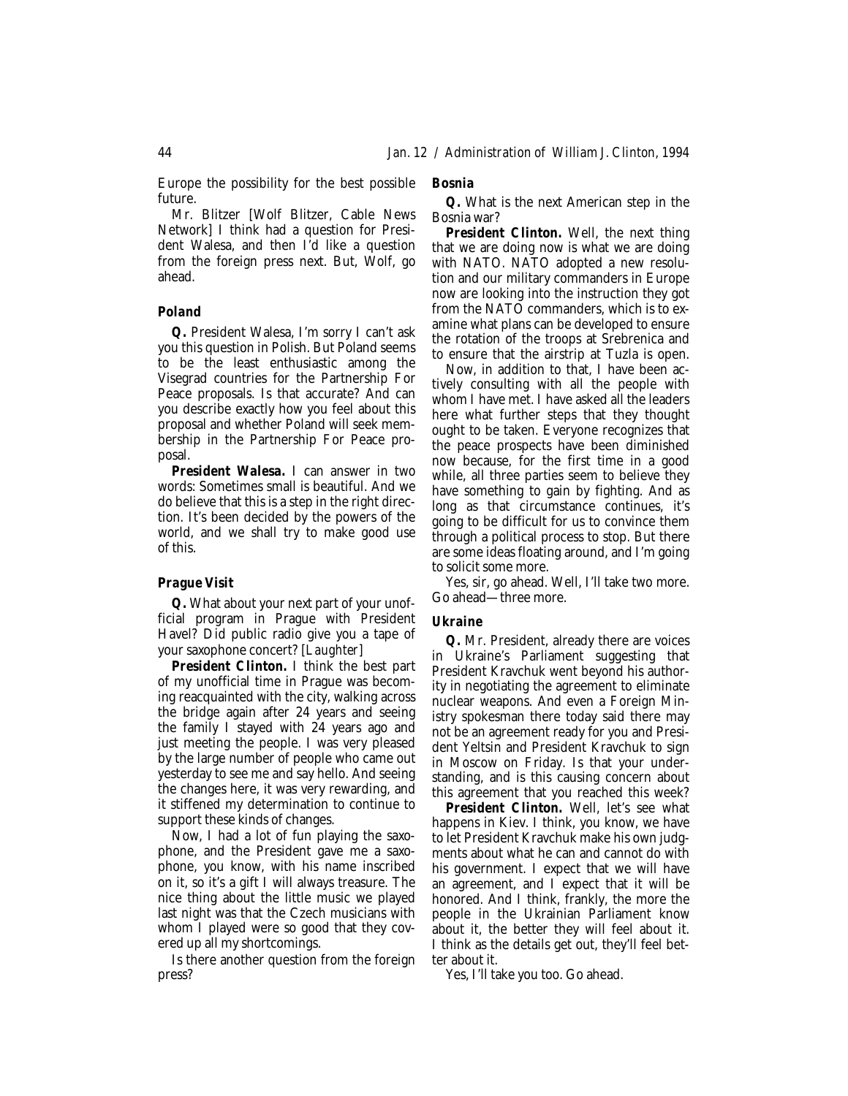Europe the possibility for the best possible future.

Mr. Blitzer [Wolf Blitzer, Cable News Network] I think had a question for President Walesa, and then I'd like a question from the foreign press next. But, Wolf, go ahead.

# *Poland*

*Q.* President Walesa, I'm sorry I can't ask you this question in Polish. But Poland seems to be the least enthusiastic among the Visegrad countries for the Partnership For Peace proposals. Is that accurate? And can you describe exactly how you feel about this proposal and whether Poland will seek membership in the Partnership For Peace proposal.

*President Walesa.* I can answer in two words: Sometimes small is beautiful. And we do believe that this is a step in the right direction. It's been decided by the powers of the world, and we shall try to make good use of this.

## *Prague Visit*

*Q.* What about your next part of your unofficial program in Prague with President Havel? Did public radio give you a tape of your saxophone concert? [*Laughter*]

*President Clinton.* I think the best part of my unofficial time in Prague was becoming reacquainted with the city, walking across the bridge again after 24 years and seeing the family I stayed with 24 years ago and just meeting the people. I was very pleased by the large number of people who came out yesterday to see me and say hello. And seeing the changes here, it was very rewarding, and it stiffened my determination to continue to support these kinds of changes.

Now, I had a lot of fun playing the saxophone, and the President gave me a saxophone, you know, with his name inscribed on it, so it's a gift I will always treasure. The nice thing about the little music we played last night was that the Czech musicians with whom I played were so good that they covered up all my shortcomings.

Is there another question from the foreign press?

# *Bosnia*

*Q.* What is the next American step in the Bosnia war?

*President Clinton.* Well, the next thing that we are doing now is what we are doing with NATO. NATO adopted a new resolution and our military commanders in Europe now are looking into the instruction they got from the NATO commanders, which is to examine what plans can be developed to ensure the rotation of the troops at Srebrenica and to ensure that the airstrip at Tuzla is open.

Now, in addition to that, I have been actively consulting with all the people with whom I have met. I have asked all the leaders here what further steps that they thought ought to be taken. Everyone recognizes that the peace prospects have been diminished now because, for the first time in a good while, all three parties seem to believe they have something to gain by fighting. And as long as that circumstance continues, it's going to be difficult for us to convince them through a political process to stop. But there are some ideas floating around, and I'm going to solicit some more.

Yes, sir, go ahead. Well, I'll take two more. Go ahead—three more.

#### *Ukraine*

*Q.* Mr. President, already there are voices in Ukraine's Parliament suggesting that President Kravchuk went beyond his authority in negotiating the agreement to eliminate nuclear weapons. And even a Foreign Ministry spokesman there today said there may not be an agreement ready for you and President Yeltsin and President Kravchuk to sign in Moscow on Friday. Is that your understanding, and is this causing concern about this agreement that you reached this week?

*President Clinton.* Well, let's see what happens in Kiev. I think, you know, we have to let President Kravchuk make his own judgments about what he can and cannot do with his government. I expect that we will have an agreement, and I expect that it will be honored. And I think, frankly, the more the people in the Ukrainian Parliament know about it, the better they will feel about it. I think as the details get out, they'll feel better about it.

Yes, I'll take you too. Go ahead.